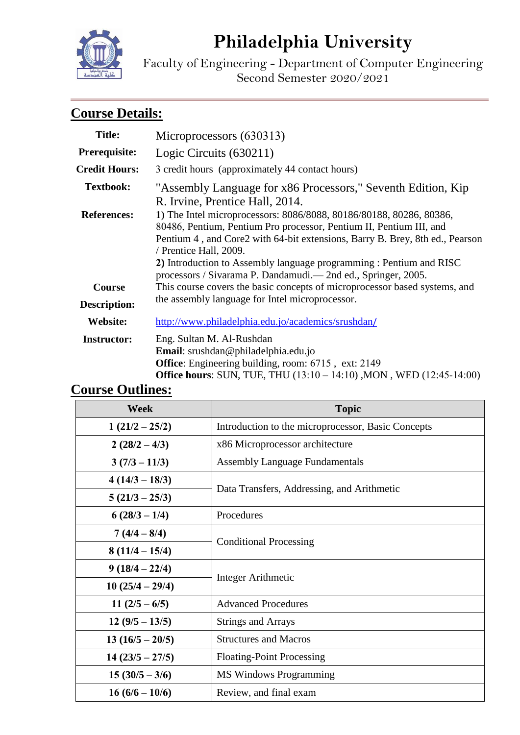# **Philadelphia University**

Faculty of Engineering - Department of Computer Engineering Second Semester 2020/2021

# **Course Details:**

| <b>Title:</b>                 | Microprocessors (630313)                                                                                                                                                                                                                                                                                                                                       |  |  |
|-------------------------------|----------------------------------------------------------------------------------------------------------------------------------------------------------------------------------------------------------------------------------------------------------------------------------------------------------------------------------------------------------------|--|--|
| Prerequisite:                 | Logic Circuits (630211)                                                                                                                                                                                                                                                                                                                                        |  |  |
| <b>Credit Hours:</b>          | 3 credit hours (approximately 44 contact hours)                                                                                                                                                                                                                                                                                                                |  |  |
| <b>Textbook:</b>              | "Assembly Language for x86 Processors," Seventh Edition, Kip                                                                                                                                                                                                                                                                                                   |  |  |
| <b>References:</b>            | R. Irvine, Prentice Hall, 2014.<br>1) The Intel microprocessors: 8086/8088, 80186/80188, 80286, 80386,<br>80486, Pentium, Pentium Pro processor, Pentium II, Pentium III, and<br>Pentium 4, and Core2 with 64-bit extensions, Barry B. Brey, 8th ed., Pearson<br>/ Prentice Hall, 2009.<br>2) Introduction to Assembly language programming : Pentium and RISC |  |  |
|                               | processors / Sivarama P. Dandamudi.— 2nd ed., Springer, 2005.                                                                                                                                                                                                                                                                                                  |  |  |
| Course<br><b>Description:</b> | This course covers the basic concepts of microprocessor based systems, and<br>the assembly language for Intel microprocessor.                                                                                                                                                                                                                                  |  |  |
| Website:                      | http://www.philadelphia.edu.jo/academics/srushdan/                                                                                                                                                                                                                                                                                                             |  |  |
| <b>Instructor:</b>            | Eng. Sultan M. Al-Rushdan<br>Email: srushdan@philadelphia.edu.jo<br><b>Office:</b> Engineering building, room: 6715, ext: 2149<br>Office hours: SUN, TUE, THU (13:10 - 14:10), MON, WED (12:45-14:00)                                                                                                                                                          |  |  |

# **Course Outlines:**

| Week              | <b>Topic</b>                                       |  |
|-------------------|----------------------------------------------------|--|
| $1(21/2-25/2)$    | Introduction to the microprocessor, Basic Concepts |  |
| $2(28/2-4/3)$     | x86 Microprocessor architecture                    |  |
| $3(7/3-11/3)$     | <b>Assembly Language Fundamentals</b>              |  |
| $4(14/3 - 18/3)$  | Data Transfers, Addressing, and Arithmetic         |  |
| $5(21/3 - 25/3)$  |                                                    |  |
| $6(28/3-1/4)$     | Procedures                                         |  |
| $7(4/4-8/4)$      |                                                    |  |
| $8(11/4-15/4)$    | <b>Conditional Processing</b>                      |  |
| $9(18/4-22/4)$    |                                                    |  |
| $10(25/4-29/4)$   | Integer Arithmetic                                 |  |
| $11(2/5-6/5)$     | <b>Advanced Procedures</b>                         |  |
| $12(9/5-13/5)$    | <b>Strings and Arrays</b>                          |  |
| $13(16/5-20/5)$   | <b>Structures and Macros</b>                       |  |
| $14(23/5 - 27/5)$ | <b>Floating-Point Processing</b>                   |  |
| $15(30/5-3/6)$    | <b>MS Windows Programming</b>                      |  |
| $16(6/6-10/6)$    | Review, and final exam                             |  |